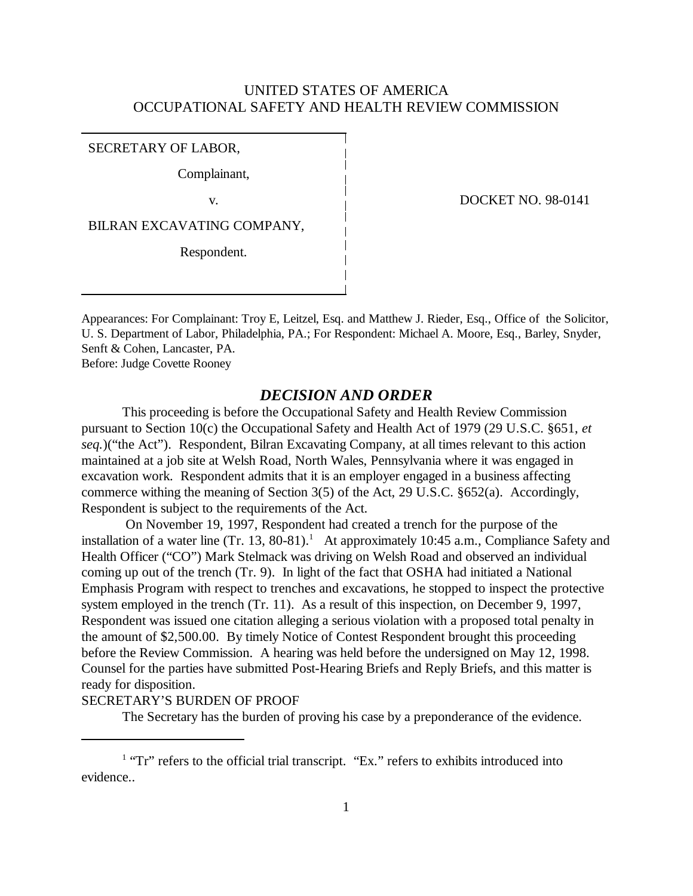# UNITED STATES OF AMERICA OCCUPATIONAL SAFETY AND HEALTH REVIEW COMMISSION

SECRETARY OF LABOR,

Complainant,

BILRAN EXCAVATING COMPANY,

Respondent.

v. DOCKET NO. 98-0141

Appearances: For Complainant: Troy E, Leitzel, Esq. and Matthew J. Rieder, Esq., Office of the Solicitor, U. S. Department of Labor, Philadelphia, PA.; For Respondent: Michael A. Moore, Esq., Barley, Snyder, Senft & Cohen, Lancaster, PA. Before: Judge Covette Rooney

### *DECISION AND ORDER*

This proceeding is before the Occupational Safety and Health Review Commission pursuant to Section 10(c) the Occupational Safety and Health Act of 1979 (29 U.S.C. §651, *et seq.*)("the Act"). Respondent, Bilran Excavating Company, at all times relevant to this action maintained at a job site at Welsh Road, North Wales, Pennsylvania where it was engaged in excavation work. Respondent admits that it is an employer engaged in a business affecting commerce withing the meaning of Section 3(5) of the Act, 29 U.S.C. §652(a). Accordingly, Respondent is subject to the requirements of the Act.

 On November 19, 1997, Respondent had created a trench for the purpose of the installation of a water line  $(Tr. 13, 80-81).$ <sup>1</sup> At approximately 10:45 a.m., Compliance Safety and Health Officer ("CO") Mark Stelmack was driving on Welsh Road and observed an individual coming up out of the trench (Tr. 9). In light of the fact that OSHA had initiated a National Emphasis Program with respect to trenches and excavations, he stopped to inspect the protective system employed in the trench (Tr. 11). As a result of this inspection, on December 9, 1997, Respondent was issued one citation alleging a serious violation with a proposed total penalty in the amount of \$2,500.00. By timely Notice of Contest Respondent brought this proceeding before the Review Commission. A hearing was held before the undersigned on May 12, 1998. Counsel for the parties have submitted Post-Hearing Briefs and Reply Briefs, and this matter is ready for disposition.

## SECRETARY'S BURDEN OF PROOF

The Secretary has the burden of proving his case by a preponderance of the evidence.

<sup>&</sup>lt;sup>1</sup> "Tr" refers to the official trial transcript. "Ex." refers to exhibits introduced into evidence..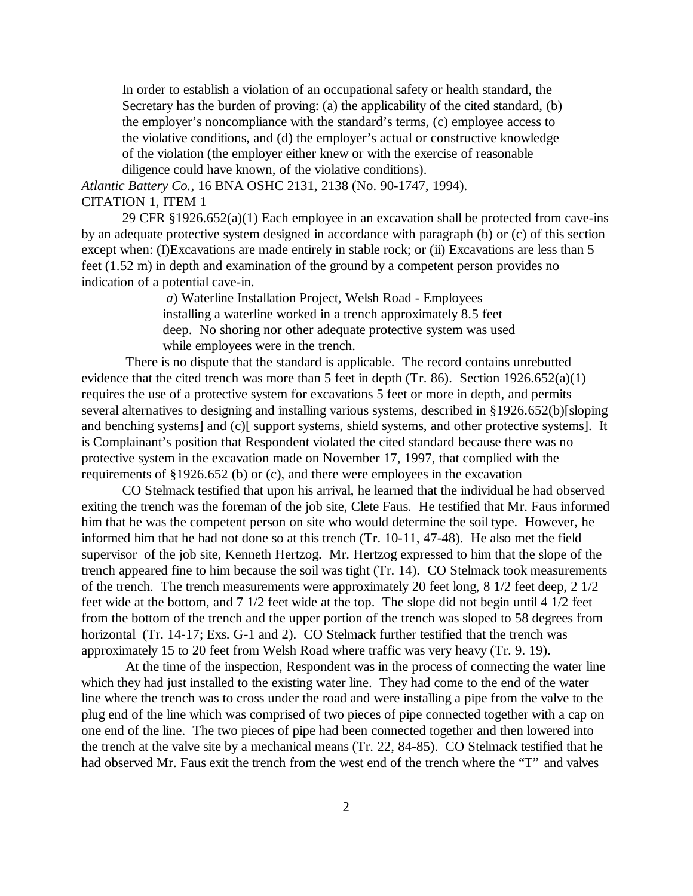In order to establish a violation of an occupational safety or health standard, the Secretary has the burden of proving: (a) the applicability of the cited standard, (b) the employer's noncompliance with the standard's terms, (c) employee access to the violative conditions, and (d) the employer's actual or constructive knowledge of the violation (the employer either knew or with the exercise of reasonable diligence could have known, of the violative conditions).

*Atlantic Battery Co.,* 16 BNA OSHC 2131, 2138 (No. 90-1747, 1994). CITATION 1, ITEM 1

29 CFR §1926.652(a)(1) Each employee in an excavation shall be protected from cave-ins by an adequate protective system designed in accordance with paragraph (b) or (c) of this section except when: (I)Excavations are made entirely in stable rock; or (ii) Excavations are less than 5 feet (1.52 m) in depth and examination of the ground by a competent person provides no indication of a potential cave-in.

> *a*) Waterline Installation Project, Welsh Road - Employees installing a waterline worked in a trench approximately 8.5 feet deep. No shoring nor other adequate protective system was used while employees were in the trench.

 There is no dispute that the standard is applicable. The record contains unrebutted evidence that the cited trench was more than 5 feet in depth (Tr. 86). Section 1926.652(a)(1) requires the use of a protective system for excavations 5 feet or more in depth, and permits several alternatives to designing and installing various systems, described in §1926.652(b)[sloping and benching systems] and (c)[ support systems, shield systems, and other protective systems]. It is Complainant's position that Respondent violated the cited standard because there was no protective system in the excavation made on November 17, 1997, that complied with the requirements of §1926.652 (b) or (c), and there were employees in the excavation

CO Stelmack testified that upon his arrival, he learned that the individual he had observed exiting the trench was the foreman of the job site, Clete Faus. He testified that Mr. Faus informed him that he was the competent person on site who would determine the soil type. However, he informed him that he had not done so at this trench (Tr. 10-11, 47-48). He also met the field supervisor of the job site, Kenneth Hertzog. Mr. Hertzog expressed to him that the slope of the trench appeared fine to him because the soil was tight (Tr. 14). CO Stelmack took measurements of the trench. The trench measurements were approximately 20 feet long, 8 1/2 feet deep, 2 1/2 feet wide at the bottom, and 7 1/2 feet wide at the top. The slope did not begin until 4 1/2 feet from the bottom of the trench and the upper portion of the trench was sloped to 58 degrees from horizontal (Tr. 14-17; Exs. G-1 and 2). CO Stelmack further testified that the trench was approximately 15 to 20 feet from Welsh Road where traffic was very heavy (Tr. 9. 19).

 At the time of the inspection, Respondent was in the process of connecting the water line which they had just installed to the existing water line. They had come to the end of the water line where the trench was to cross under the road and were installing a pipe from the valve to the plug end of the line which was comprised of two pieces of pipe connected together with a cap on one end of the line. The two pieces of pipe had been connected together and then lowered into the trench at the valve site by a mechanical means (Tr. 22, 84-85). CO Stelmack testified that he had observed Mr. Faus exit the trench from the west end of the trench where the "T" and valves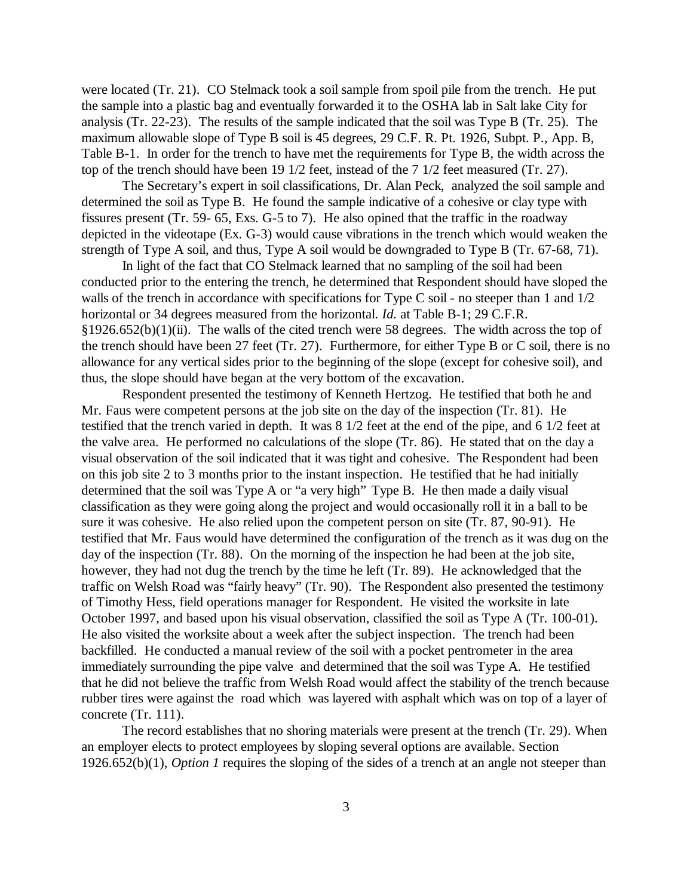were located (Tr. 21). CO Stelmack took a soil sample from spoil pile from the trench. He put the sample into a plastic bag and eventually forwarded it to the OSHA lab in Salt lake City for analysis (Tr. 22-23). The results of the sample indicated that the soil was Type B (Tr. 25). The maximum allowable slope of Type B soil is 45 degrees, 29 C.F. R. Pt. 1926, Subpt. P., App. B, Table B-1. In order for the trench to have met the requirements for Type B, the width across the top of the trench should have been 19 1/2 feet, instead of the 7 1/2 feet measured (Tr. 27).

The Secretary's expert in soil classifications, Dr. Alan Peck, analyzed the soil sample and determined the soil as Type B. He found the sample indicative of a cohesive or clay type with fissures present (Tr. 59- 65, Exs. G-5 to 7). He also opined that the traffic in the roadway depicted in the videotape (Ex. G-3) would cause vibrations in the trench which would weaken the strength of Type A soil, and thus, Type A soil would be downgraded to Type B (Tr. 67-68, 71).

In light of the fact that CO Stelmack learned that no sampling of the soil had been conducted prior to the entering the trench, he determined that Respondent should have sloped the walls of the trench in accordance with specifications for Type C soil - no steeper than 1 and  $1/2$ horizontal or 34 degrees measured from the horizontal. *Id.* at Table B-1; 29 C.F.R.  $§1926.652(b)(1)(ii)$ . The walls of the cited trench were 58 degrees. The width across the top of the trench should have been 27 feet (Tr. 27). Furthermore, for either Type B or C soil, there is no allowance for any vertical sides prior to the beginning of the slope (except for cohesive soil), and thus, the slope should have began at the very bottom of the excavation.

Respondent presented the testimony of Kenneth Hertzog. He testified that both he and Mr. Faus were competent persons at the job site on the day of the inspection (Tr. 81). He testified that the trench varied in depth. It was 8 1/2 feet at the end of the pipe, and 6 1/2 feet at the valve area. He performed no calculations of the slope (Tr. 86). He stated that on the day a visual observation of the soil indicated that it was tight and cohesive. The Respondent had been on this job site 2 to 3 months prior to the instant inspection. He testified that he had initially determined that the soil was Type A or "a very high" Type B. He then made a daily visual classification as they were going along the project and would occasionally roll it in a ball to be sure it was cohesive. He also relied upon the competent person on site (Tr. 87, 90-91). He testified that Mr. Faus would have determined the configuration of the trench as it was dug on the day of the inspection (Tr. 88). On the morning of the inspection he had been at the job site, however, they had not dug the trench by the time he left (Tr. 89). He acknowledged that the traffic on Welsh Road was "fairly heavy" (Tr. 90). The Respondent also presented the testimony of Timothy Hess, field operations manager for Respondent. He visited the worksite in late October 1997, and based upon his visual observation, classified the soil as Type A (Tr. 100-01). He also visited the worksite about a week after the subject inspection. The trench had been backfilled. He conducted a manual review of the soil with a pocket pentrometer in the area immediately surrounding the pipe valve and determined that the soil was Type A. He testified that he did not believe the traffic from Welsh Road would affect the stability of the trench because rubber tires were against the road which was layered with asphalt which was on top of a layer of concrete (Tr. 111).

The record establishes that no shoring materials were present at the trench (Tr. 29). When an employer elects to protect employees by sloping several options are available. Section 1926.652(b)(1), *Option 1* requires the sloping of the sides of a trench at an angle not steeper than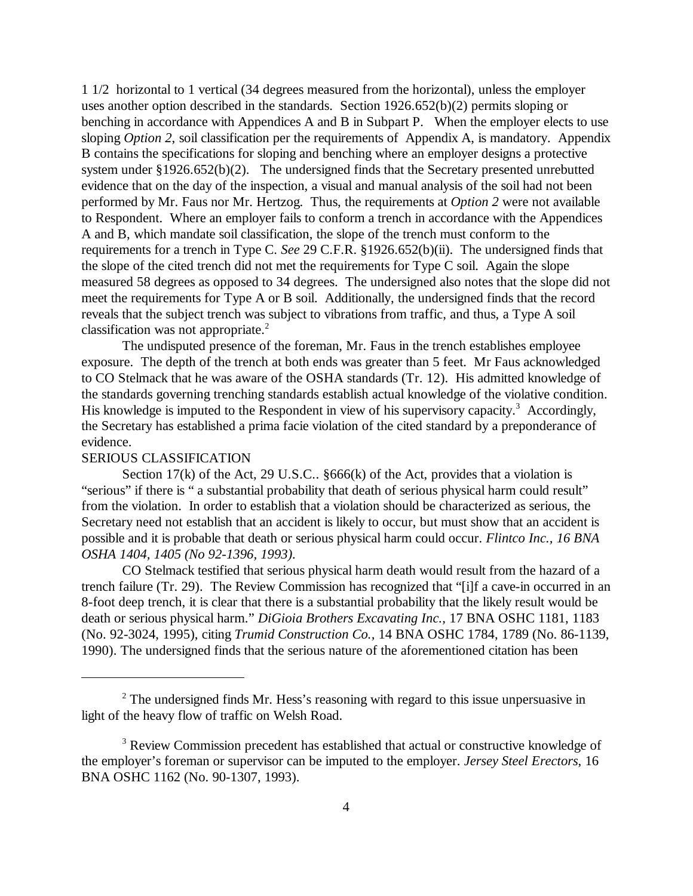1 1/2 horizontal to 1 vertical (34 degrees measured from the horizontal), unless the employer uses another option described in the standards. Section 1926.652(b)(2) permits sloping or benching in accordance with Appendices A and B in Subpart P. When the employer elects to use sloping *Option 2*, soil classification per the requirements of Appendix A, is mandatory. Appendix B contains the specifications for sloping and benching where an employer designs a protective system under §1926.652(b)(2). The undersigned finds that the Secretary presented unrebutted evidence that on the day of the inspection, a visual and manual analysis of the soil had not been performed by Mr. Faus nor Mr. Hertzog. Thus, the requirements at *Option 2* were not available to Respondent. Where an employer fails to conform a trench in accordance with the Appendices A and B, which mandate soil classification, the slope of the trench must conform to the requirements for a trench in Type C. *See* 29 C.F.R. §1926.652(b)(ii). The undersigned finds that the slope of the cited trench did not met the requirements for Type C soil. Again the slope measured 58 degrees as opposed to 34 degrees. The undersigned also notes that the slope did not meet the requirements for Type A or B soil. Additionally, the undersigned finds that the record reveals that the subject trench was subject to vibrations from traffic, and thus, a Type A soil classification was not appropriate.<sup>2</sup>

The undisputed presence of the foreman, Mr. Faus in the trench establishes employee exposure. The depth of the trench at both ends was greater than 5 feet. Mr Faus acknowledged to CO Stelmack that he was aware of the OSHA standards (Tr. 12). His admitted knowledge of the standards governing trenching standards establish actual knowledge of the violative condition. His knowledge is imputed to the Respondent in view of his supervisory capacity.<sup>3</sup> Accordingly, the Secretary has established a prima facie violation of the cited standard by a preponderance of evidence.

#### SERIOUS CLASSIFICATION

Section 17(k) of the Act, 29 U.S.C.. §666(k) of the Act, provides that a violation is "serious" if there is " a substantial probability that death of serious physical harm could result" from the violation. In order to establish that a violation should be characterized as serious, the Secretary need not establish that an accident is likely to occur, but must show that an accident is possible and it is probable that death or serious physical harm could occur. *Flintco Inc., 16 BNA OSHA 1404, 1405 (No 92-1396, 1993).* 

CO Stelmack testified that serious physical harm death would result from the hazard of a trench failure (Tr. 29). The Review Commission has recognized that "[i]f a cave-in occurred in an 8-foot deep trench, it is clear that there is a substantial probability that the likely result would be death or serious physical harm." *DiGioia Brothers Excavating Inc.,* 17 BNA OSHC 1181, 1183 (No. 92-3024, 1995), citing *Trumid Construction Co.,* 14 BNA OSHC 1784, 1789 (No. 86-1139, 1990). The undersigned finds that the serious nature of the aforementioned citation has been

 $2<sup>2</sup>$  The undersigned finds Mr. Hess's reasoning with regard to this issue unpersuasive in light of the heavy flow of traffic on Welsh Road.

<sup>&</sup>lt;sup>3</sup> Review Commission precedent has established that actual or constructive knowledge of the employer's foreman or supervisor can be imputed to the employer. *Jersey Steel Erectors*, 16 BNA OSHC 1162 (No. 90-1307, 1993).